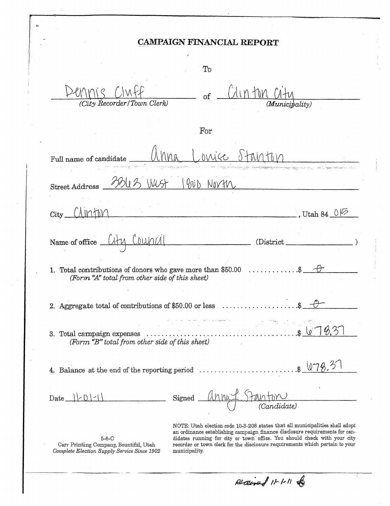|                               | <b>CAMPAIGN FINANCIAL REPORT</b>                                                                                                   |                                                                                                            |
|-------------------------------|------------------------------------------------------------------------------------------------------------------------------------|------------------------------------------------------------------------------------------------------------|
|                               | To                                                                                                                                 |                                                                                                            |
|                               | $\sigma f$<br>(City Recorder/Town Clerk)                                                                                           | (Municipality)                                                                                             |
|                               | For                                                                                                                                |                                                                                                            |
| Full name of candidate        | <b>DIAJCE</b>                                                                                                                      |                                                                                                            |
| <b>Street Address</b>         | 90 <sub>b</sub><br>WUST<br>Novth                                                                                                   | den internation of the satellitetive dependence in the company and decay and according the department of a |
| A IIO HIV<br>City_            |                                                                                                                                    | , Utah 84 $0\%$                                                                                            |
| Name of office $\sqrt{1 + 1}$ | MANO<br>(District                                                                                                                  |                                                                                                            |
| 1.                            | Total contributions of donors who gave more than \$50.00 $\dots \dots \dots$ .\$<br>(Form "A" total from other side of this sheet) |                                                                                                            |
|                               | 2. Aggregate total of contributions of \$50.00 or less                                                                             |                                                                                                            |
|                               |                                                                                                                                    |                                                                                                            |
|                               | (Form "B" total from other side of this sheet)                                                                                     | 8.37<br>$\ddot{\mathbf{r}}$                                                                                |
| 3.                            | 4. Balance at the end of the reporting period $\ldots$ \$ $\sqrt{0.78}$ .                                                          |                                                                                                            |

5-6-C<br>Carr Printing Company, Bountiful, Utah<br>Complete Election Supply Service Since 1902

didates running for city or town office. You should check with your city recorder or town clerk for the disclosure requirements which pertain to your municipality.

Accined 11-1-11 &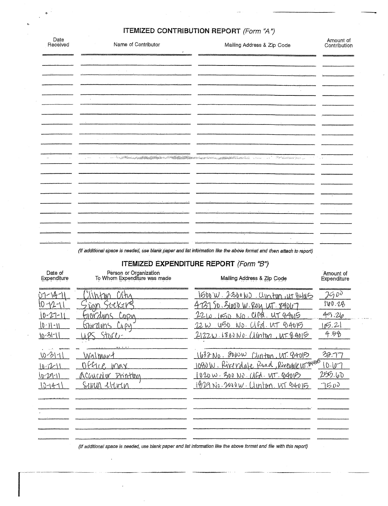| Date<br>Received                                                                                    | Name of Contributor                                    | Mailing Address & Zip Code                                                                                            | Amount of<br>Contribution                     |
|-----------------------------------------------------------------------------------------------------|--------------------------------------------------------|-----------------------------------------------------------------------------------------------------------------------|-----------------------------------------------|
|                                                                                                     |                                                        |                                                                                                                       |                                               |
|                                                                                                     |                                                        |                                                                                                                       |                                               |
|                                                                                                     |                                                        |                                                                                                                       |                                               |
|                                                                                                     |                                                        |                                                                                                                       |                                               |
|                                                                                                     |                                                        |                                                                                                                       |                                               |
|                                                                                                     |                                                        |                                                                                                                       |                                               |
|                                                                                                     |                                                        |                                                                                                                       |                                               |
|                                                                                                     |                                                        |                                                                                                                       |                                               |
|                                                                                                     |                                                        |                                                                                                                       |                                               |
|                                                                                                     |                                                        |                                                                                                                       |                                               |
|                                                                                                     |                                                        |                                                                                                                       |                                               |
|                                                                                                     |                                                        |                                                                                                                       |                                               |
|                                                                                                     |                                                        |                                                                                                                       |                                               |
|                                                                                                     |                                                        |                                                                                                                       |                                               |
|                                                                                                     |                                                        |                                                                                                                       |                                               |
|                                                                                                     |                                                        |                                                                                                                       |                                               |
|                                                                                                     |                                                        |                                                                                                                       |                                               |
|                                                                                                     | the contract and completely state                      | (If additional space is needed, use blank paper and list information like the above format and then attach to report) |                                               |
|                                                                                                     | Person or Organization<br>To Whom Expenditure was made | <b>ITEMIZED EXPENDITURE REPORT (Form "B")</b><br>Mailing Address & Zip Code                                           |                                               |
|                                                                                                     |                                                        |                                                                                                                       |                                               |
|                                                                                                     | n hu<br><i><b>INTIO</b></i>                            | <u>1600 W. 2300 ND. Ulmton in Bulas</u>                                                                               | 250                                           |
|                                                                                                     | 'AK11/ <sup>E</sup>                                    | SO SLOOD W. ROLL UIT 840LM                                                                                            |                                               |
|                                                                                                     | Gordons<br>$C_{QQ}$                                    | 22 W 1050 ND. C18 UT 84015                                                                                            |                                               |
|                                                                                                     | <u>Glurdons Copy</u>                                   | <u>650 NO. CIFA. UT 04015</u><br>$22~$ W                                                                              | انتہ رشما<br>午夕8                              |
|                                                                                                     | Strth                                                  | 2122W.1800No. (Alinton, UT84015                                                                                       |                                               |
|                                                                                                     | Walmart                                                | 1632 No. 2000W<br>Clinton, LAT. 84015                                                                                 | 32.77                                         |
| Date of<br>Expenditure<br>$10 - 27 - 1$<br>$10 - 11 - 11$<br>10-31-1<br>$10 - 31 - 11$<br>$10 - 12$ | Office Max                                             |                                                                                                                       | 40.26<br>10.107                               |
|                                                                                                     | Accurator Printing                                     | 1080 W. Riverdate Road, Rivewalc wright<br>1020 W. 300 NO. (AFA. UT. 92015)                                           |                                               |
|                                                                                                     | SINUM liturn                                           | 1829 No. 2000 W. Clinton, WT 34015                                                                                    | 7500                                          |
|                                                                                                     |                                                        |                                                                                                                       | Amount of<br>Expenditure<br>JE0.28<br>2550 60 |
| $10 - 29 - 11$<br>$10 - 4 - 1$                                                                      |                                                        |                                                                                                                       |                                               |
|                                                                                                     |                                                        |                                                                                                                       |                                               |

 $\bar{t}$ 

 $\ddot{\phantom{1}}$ 

 $\tilde{\mathbf{v}}$ 

and and a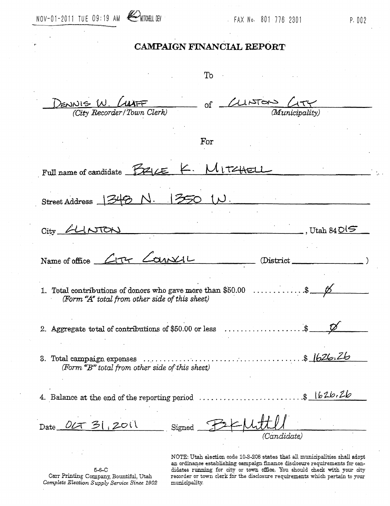

To

 $(D_{\text{ENNI}} \oplus W)$  $\circ$ f মাস (City Recorder/Town Clerk) For Full name of candidate FIZILE l i t<del>alac</del>  $750$ Street Address , Utah 84  $\mathsf{O}$ City  $L_{\rm IT}$  $-$ an $\times$ Name of office (District  $\mathcal{E}$ 1. Total contributions of donors who gave more than  $$50.00$  ........ (Form "A" total from other side of this sheet) 2. Aggregate total of contributions of \$50.00 or less . . . . . . . . \$ (Form "B" total from other side of this sheet) 4. Balance at the end of the reporting period .............................\$1626.26  $201$ احت Date ULT Signed (Candidate) NOTE: Utah election code 10-3-208 states that all municipalities shall adopt

 $5 - 6 - C$ Carr Printing Company, Bountiful, Utah Complete Election Supply Service Since 1902

an ordinance establishing campaign finance disclosure requirements for candidates running for city or town office. You should check with your city recorder or town clerk for the disclosure requirements which pertain to your municipality.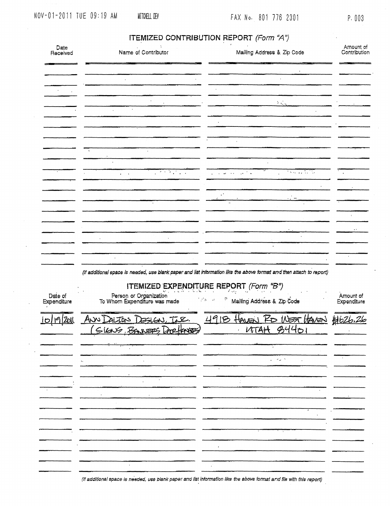### P. 003

| Date<br>Received       | Name of Contributor                                                           | Mailing Address & Zip Code                                                                                                | Amount of<br>Contribution |
|------------------------|-------------------------------------------------------------------------------|---------------------------------------------------------------------------------------------------------------------------|---------------------------|
|                        |                                                                               |                                                                                                                           |                           |
|                        |                                                                               | $\mathcal{V}(\mathcal{L}_n)$                                                                                              |                           |
|                        | $\mathcal{L}$                                                                 |                                                                                                                           |                           |
|                        | $\cdot$                                                                       |                                                                                                                           |                           |
|                        | $\overline{P}$ and $\overline{P}$ and $\overline{P}$<br>$\sim$ 1<br>$\bullet$ | the company of the com-<br>$\mathcal{A}^{\text{max}}$ and<br>$\mathbf{u} = \mathbf{u} \mathbf{u} + \mathbf{u} \mathbf{u}$ |                           |
|                        |                                                                               | $\varphi^{\alpha}$<br>$\sim 10$ m<br>$\ddot{\phantom{0}}$                                                                 |                           |
|                        |                                                                               |                                                                                                                           |                           |
|                        |                                                                               | $\ddot{\phantom{0}}$                                                                                                      |                           |
|                        |                                                                               | (If additional space is needed, use blank paper and list information like the above format and then attach to report)     | $\bullet$                 |
| Date of<br>Expenditure | Person or Organization<br>To Whom Expenditure was made                        | ITEMIZED EXPENDITURE REPORT (Form "B")<br>ņ.<br>$\sim 10^{11}$ m $^{-1}$<br>Mailing Address & Zip Code                    | Amount of<br>Expenditure  |
| Zoll<br>10             | Anne Driton DesiGN, I.E.<br>(SIGNS BANNERS DOCTOROES)                         | 4918 Haven RD WEST HAVEN HOZ6.26<br><u>UTAH B4401</u>                                                                     |                           |
|                        |                                                                               |                                                                                                                           |                           |
|                        |                                                                               | $\mathcal{L} = \{ \mathcal{L}_1, \ldots, \mathcal{L}_n \}$                                                                |                           |
|                        |                                                                               |                                                                                                                           |                           |
|                        |                                                                               |                                                                                                                           |                           |
|                        |                                                                               |                                                                                                                           |                           |
|                        |                                                                               |                                                                                                                           |                           |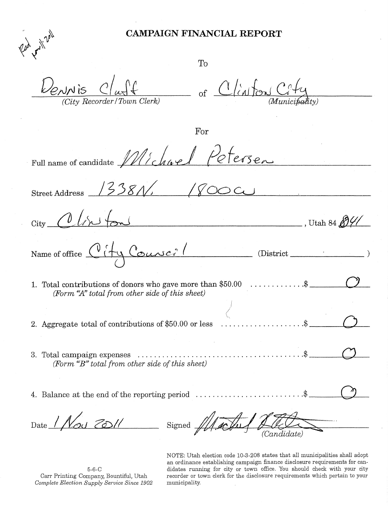To

 $\frac{p_{\ell}^{(n)}\mathbf{v}^{(n)}}{p_{\ell}^{(n)}\mathbf{v}^{(n)}}$ 

of Clinton Co

For

Full name of candidate Michie ersen

 $13381$ Street Address

 $U \tan 84 \frac{\cancel{0}^2}{\cancel{0}^2}$ City Name of office City Course? (District ) 1. Total contributions of donors who gave more than  $$50.00$   $\dots$   $\dots$   $\$   $\}$ j

- 2. Aggregate total of contributions of \$50.00 or less  $\dots \dots \dots \dots \dots$
- 3. Total campaign expenses \$ 0 *(Form* ~~B)' *total from* otl~er *side of this sheet)*
- 4. Balance at the end of the reporting period  $\dots \dots \dots \dots \dots \dots \dots$

Date *1 Nos 201* 

Signed  $\mathscr{U}$ 

NOTE: Utah election code 10-3-208 states that all municipalities shall adopt an ordinance establishing campaign finance disclosure requirements for candidates running for city or town office. You should check with your city recorder or town clerk for the disclosure requirements which pertain to your municipality.

5-6-C Carr Printing Company, Bountiful, Utah *C07nplete Election* Suppl~y *Service Since 1902*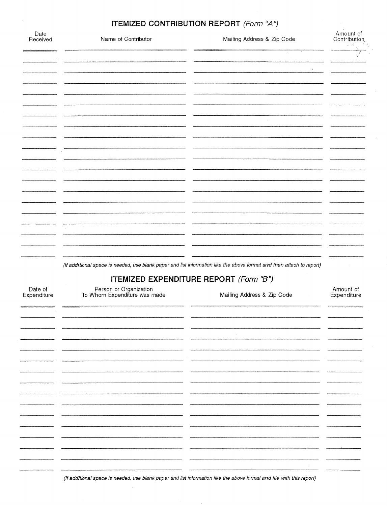$\ddot{\phantom{a}}$ 

| Date<br>Received       | Name of Contributor                                    | Mailing Address & Zip Code                                                                                            | Amount of<br>Contribution |
|------------------------|--------------------------------------------------------|-----------------------------------------------------------------------------------------------------------------------|---------------------------|
|                        |                                                        |                                                                                                                       |                           |
|                        |                                                        |                                                                                                                       |                           |
|                        |                                                        |                                                                                                                       |                           |
|                        |                                                        |                                                                                                                       |                           |
|                        |                                                        |                                                                                                                       |                           |
|                        |                                                        |                                                                                                                       |                           |
|                        |                                                        |                                                                                                                       |                           |
|                        |                                                        |                                                                                                                       |                           |
|                        |                                                        |                                                                                                                       |                           |
|                        |                                                        |                                                                                                                       |                           |
|                        |                                                        |                                                                                                                       |                           |
|                        |                                                        |                                                                                                                       |                           |
|                        |                                                        |                                                                                                                       |                           |
|                        |                                                        | (If additional space is needed, use blank paper and list information like the above format and then attach to report) |                           |
|                        |                                                        | ITEMIZED EXPENDITURE REPORT (Form "B")                                                                                |                           |
| Date of<br>Expenditure | Person or Organization<br>To Whom Expenditure was made | Mailing Address & Zip Code                                                                                            | Amount of<br>Expenditure  |
|                        |                                                        |                                                                                                                       |                           |
|                        |                                                        |                                                                                                                       |                           |
|                        |                                                        |                                                                                                                       |                           |
|                        |                                                        |                                                                                                                       |                           |
|                        |                                                        |                                                                                                                       |                           |
|                        |                                                        |                                                                                                                       |                           |
|                        | - -                                                    | - -                                                                                                                   |                           |
|                        |                                                        |                                                                                                                       |                           |
|                        |                                                        |                                                                                                                       |                           |
|                        |                                                        |                                                                                                                       |                           |
|                        |                                                        |                                                                                                                       |                           |

(If additional space is needed, use blank paper and list information like the above format and file with this report)

 $\mathcal{L}_{\mathcal{A}}$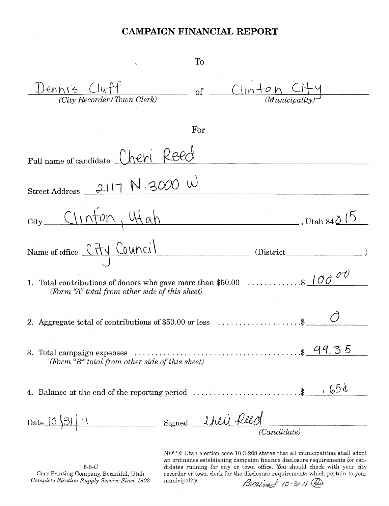| To                                                                                                                                                                                                                  |
|---------------------------------------------------------------------------------------------------------------------------------------------------------------------------------------------------------------------|
| $Clu$ + $fl$<br>ennis<br><sub>of</sub><br>(City Recorder/Town Clerk)<br><i>(Municipality</i>                                                                                                                        |
| For                                                                                                                                                                                                                 |
| heri<br>Full name of candidate                                                                                                                                                                                      |
| 2117 N.3000 W<br><b>Street Address</b>                                                                                                                                                                              |
| Clinton, 4tah<br>$\_\_\_\,,$ Utah 84 $\Diamond$                                                                                                                                                                     |
| Name of office City Council<br>(District                                                                                                                                                                            |
| $\ldots$ $\frac{100}{\sigma}$<br>1. Total contributions of donors who gave more than \$50.00<br>(Form "A" total from other side of this sheet)                                                                      |
| 2. Aggregate total of contributions of \$50.00 or less                                                                                                                                                              |
| 3. Total campaign expenses $\cdots$ $\cdots$ $\cdots$ $\cdots$ $\cdots$ $\cdots$ $\cdots$ $\cdots$ $\cdots$ $\cdots$ $\cdots$ $\cdots$ $\cdots$ $\cdots$ $\cdots$<br>(Form "B" total from other side of this sheet) |
| 4. Balance at the end of the reporting period $\ldots \ldots \ldots \ldots \ldots \ldots$ \$ $\_\_\_\_\_\$                                                                                                          |
| Signed <u>their felld</u><br>Date 10 31 11<br>$\overline{(Candidate)}$                                                                                                                                              |
| NOTE: Iltab election code 10.3.208 states that all municipalities shall adopt                                                                                                                                       |

 $5-6-C$ Carr Printing Company, Bountiful, Utah Complete Election Supply Service Since 1902

NOTE: Utah election code 10-3-208 states that all municipalities shall adopt an ordinance establishing campaign finance disclosure requirements for candidates running for city or town office. You should check with your city recorder or town clerk for the disclosure requirements which pertain to your municipality. Received 10-21 @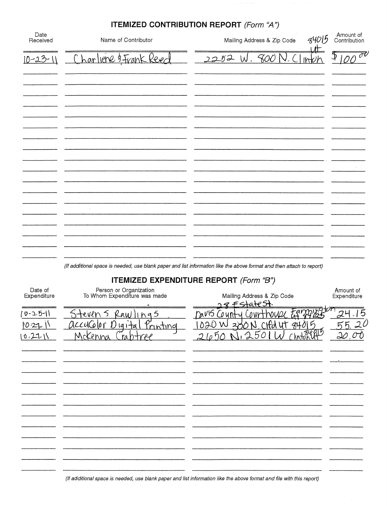|                  |                        | <b>ITEMIZED CONTRIBUTION REPORT (Form "A")</b> |                           |
|------------------|------------------------|------------------------------------------------|---------------------------|
| Date<br>Received | Name of Contributor    | 84015<br>Mailing Address & Zip Code            | Amount of<br>Contribution |
| $10 - 23 - 11$   | Charliene 3 Frank Reed | 2252 W.800<br>Irrb                             | 0000                      |
|                  |                        |                                                |                           |
|                  |                        |                                                |                           |
|                  |                        |                                                |                           |
|                  |                        |                                                |                           |
|                  |                        |                                                |                           |
|                  |                        |                                                |                           |
|                  |                        |                                                |                           |
|                  |                        |                                                |                           |
|                  |                        |                                                |                           |
|                  |                        |                                                |                           |

(If additional space is needed, use blank paper and list information like the above format and then attach to report)

# **ITEMIZED EXPENDITURE REPORT** (Form "B'')

| Date of<br>Expenditure<br>0-25-11<br>1021 | Person or Organization<br>To Whom Expenditure was made<br>Raw<br>Steven s<br>h95<br>Printing<br>accucolor<br>$191 + 8$ | Mailing Address & Zip Code<br>$8F5+4+65+$<br>army)<br>Davis Count<br><u>'020 W</u><br>84015<br>u٢ | Amount of<br>Expenditure |
|-------------------------------------------|------------------------------------------------------------------------------------------------------------------------|---------------------------------------------------------------------------------------------------|--------------------------|
| (0.21)                                    | Mckenna<br>raptree                                                                                                     | hatomatics<br>21051<br>5<br>$\theta$                                                              | مكلى                     |
|                                           |                                                                                                                        |                                                                                                   |                          |
|                                           |                                                                                                                        |                                                                                                   |                          |
|                                           |                                                                                                                        |                                                                                                   |                          |
|                                           |                                                                                                                        |                                                                                                   |                          |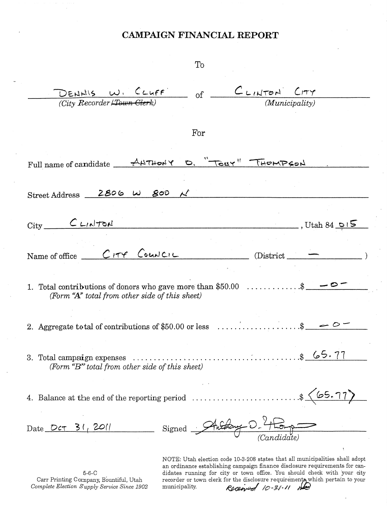| DENHIS W. CLUFF of CLINTON CITY                                                                                                    |     |                               |                                                                              |
|------------------------------------------------------------------------------------------------------------------------------------|-----|-------------------------------|------------------------------------------------------------------------------|
| (City Recorder <del>/Town Cler</del> k)                                                                                            |     |                               | (Municipality)                                                               |
|                                                                                                                                    |     |                               |                                                                              |
|                                                                                                                                    |     |                               |                                                                              |
|                                                                                                                                    | For |                               |                                                                              |
|                                                                                                                                    |     |                               |                                                                              |
| Full name of candidate $AHTHONY$ $D.$ $TearY''$ THEMPSON                                                                           |     |                               |                                                                              |
|                                                                                                                                    |     |                               |                                                                              |
|                                                                                                                                    |     |                               |                                                                              |
| Street Address 2806 W 800 $\mathcal{N}$                                                                                            |     |                               |                                                                              |
|                                                                                                                                    |     |                               |                                                                              |
|                                                                                                                                    |     |                               |                                                                              |
| $City$ $C$ $L1$ $N$ $T$ $S$ $L$                                                                                                    |     |                               | $\frac{1}{\sqrt{5}}$ , Utah 84 015                                           |
|                                                                                                                                    |     |                               |                                                                              |
|                                                                                                                                    |     |                               |                                                                              |
| Name of office _ CITY Council                                                                                                      |     | $(District$ <sub>______</sub> |                                                                              |
|                                                                                                                                    |     |                               |                                                                              |
|                                                                                                                                    |     |                               |                                                                              |
| 1. Total contributions of donors who gave more than \$50.00 $\dots \dots \dots$ \$                                                 |     |                               |                                                                              |
| (Form "A" total from other side of this sheet)                                                                                     |     |                               |                                                                              |
|                                                                                                                                    |     |                               |                                                                              |
|                                                                                                                                    |     |                               |                                                                              |
| 2. Aggregate total of contributions of \$50.00 or less $\ldots \ldots \ldots \ldots$ \$ $\_\_ \circ \_ \circ$                      |     |                               |                                                                              |
|                                                                                                                                    |     |                               |                                                                              |
|                                                                                                                                    |     |                               |                                                                              |
|                                                                                                                                    |     |                               |                                                                              |
| (Form " $B$ " total from other side of this sheet)                                                                                 |     |                               |                                                                              |
|                                                                                                                                    |     |                               |                                                                              |
|                                                                                                                                    |     |                               |                                                                              |
| 4. Balance at the end of the reporting period $\dots \dots \dots \dots \dots \dots$ . $\frac{\binom{6}{5} \cdot 77}{\binom{6}{5}}$ |     |                               |                                                                              |
|                                                                                                                                    |     |                               |                                                                              |
|                                                                                                                                    |     |                               |                                                                              |
| Date OCT 31, 2011 Signed Anthony D. Homp                                                                                           |     |                               |                                                                              |
|                                                                                                                                    |     |                               |                                                                              |
|                                                                                                                                    |     |                               | ÷                                                                            |
|                                                                                                                                    |     |                               | NOTE: Utah election code 10-3-208 states that all municipalities shall adopt |

 $5-6-C$ Carr Printing Company, Bountiful, Utah<br>Complete Election Supply Service Since 1902 NOTE: Utah election code 10-3-208 states that all municipalities shall adopt<br>an ordinance establishing campaign finance disclosure requirements for can-<br>didates running for city or town office. You should check with your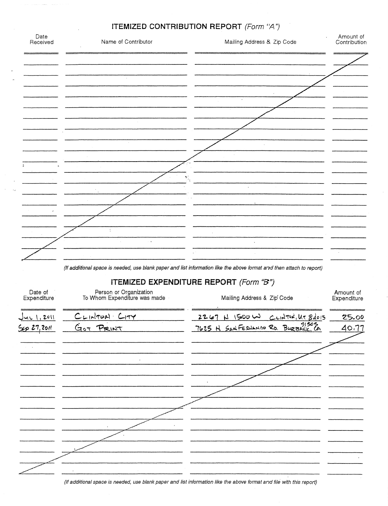| Date<br>Received       | Name of Contributor                                    | Mailing Address & Zip Code                                                                                            | Amount of<br>Contribution |
|------------------------|--------------------------------------------------------|-----------------------------------------------------------------------------------------------------------------------|---------------------------|
|                        |                                                        |                                                                                                                       |                           |
|                        | J.                                                     |                                                                                                                       |                           |
|                        |                                                        |                                                                                                                       |                           |
|                        |                                                        |                                                                                                                       |                           |
|                        |                                                        |                                                                                                                       |                           |
|                        |                                                        |                                                                                                                       |                           |
|                        |                                                        |                                                                                                                       |                           |
|                        |                                                        | $\mathcal{B}_{\mu}$                                                                                                   |                           |
|                        |                                                        |                                                                                                                       |                           |
|                        |                                                        |                                                                                                                       |                           |
|                        | $\mathcal{L}$                                          |                                                                                                                       |                           |
|                        | $\ddot{\phantom{a}}$                                   |                                                                                                                       |                           |
|                        |                                                        | (If additional space is needed, use blank paper and list information like the above format and then attach to report) |                           |
|                        |                                                        | ITEMIZED EXPENDITURE REPORT (Form "B")                                                                                |                           |
| Date of<br>Expenditure | Person or Organization<br>To Whom Expenditure was made | Mailing Address & Zip Code                                                                                            | Amount of<br>Expenditure  |
| <u>Jur 1, 2011</u>     | CLINTUAL CITY                                          | $2267$ N 1500 W CLATHI, UT 84015                                                                                      | 25.00                     |
| 5027,2011              | GOT PRINT                                              | 7625 H SANFERNAMO RD. BURBANK, CA                                                                                     | 40.77                     |
|                        |                                                        |                                                                                                                       |                           |
|                        |                                                        |                                                                                                                       |                           |
|                        |                                                        |                                                                                                                       |                           |
|                        |                                                        |                                                                                                                       |                           |
|                        |                                                        |                                                                                                                       |                           |
|                        |                                                        |                                                                                                                       |                           |
|                        |                                                        |                                                                                                                       |                           |
|                        |                                                        |                                                                                                                       |                           |
|                        |                                                        | $\sim$                                                                                                                |                           |

 $\mathcal{A}^{\pm}$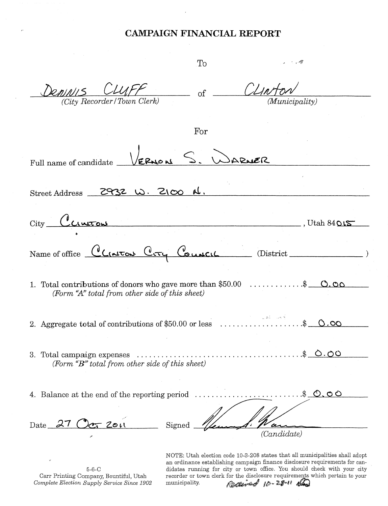| To                                                                                                                            |
|-------------------------------------------------------------------------------------------------------------------------------|
| CLIAFF<br>CLINT<br>$D$ <i>eninii</i> s<br>of<br>(City Recorder/Town Clerk)<br>(Municipality)                                  |
| For                                                                                                                           |
| VERMON S.<br>ARNER<br>Full name of candidate                                                                                  |
| 2932 W. 2100 N.<br>Street Address                                                                                             |
| $City$ $C_{CIMTON}$<br>, Utah $84$ $\Omega$ $\mathcal{S}$                                                                     |
| Name of office CLICATON CCTY Council<br>District_                                                                             |
| $O.$ $O$<br>1. Total contributions of donors who gave more than \$50.00<br>(Form "A" total from other side of this sheet)     |
| $\omega_{\rm c}$ and $\omega_{\rm c}$ and $\omega_{\rm c}$<br>2. Aggregate total of contributions of \$50.00 or less<br>(၂.၀၀ |
| <u>s 0.00</u><br>3. Total campaign expenses<br>(Form $\mathbf{``}B$ " total from other side of this sheet)                    |
| .5000<br>4. Balance at the end of the reporting period<br>.                                                                   |
| Date $27$ Oct 2011<br>Signed<br>(Candidate)                                                                                   |

5-6-C Carr Printing Company, Bountiful, Utah *Complete Election* Suppl'j' *Service Since 1902* NOTE: Utah election code 10-3-208 states that all municipalities shall adopt an ordinance establishing campaign finance disclosure requirements for candidates running for city or town office. You should check with your city recorder or town clerk for the disclosure requirements which pertain to your<br>municipality.  $\mathcal{L}_{\text{max}}^{\text{max}}$   $\mathcal{L}_{\text{max}}^{\text{max}}$   $\mathcal{L}_{\text{max}}^{\text{max}}$